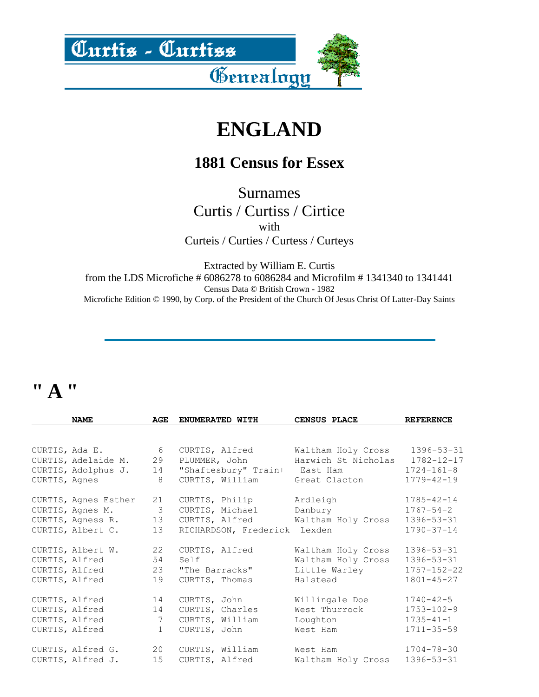<u> Curtis - Curtiss</u>



# **ENGLAND**

### **1881 Census for Essex**

Surnames Curtis / Curtiss / Cirtice with Curteis / Curties / Curtess / Curteys

Extracted by William E. Curtis from the LDS Microfiche # 6086278 to 6086284 and Microfilm # 1341340 to 1341441 Census Data © British Crown - 1982 Microfiche Edition © 1990, by Corp. of the President of the Church Of Jesus Christ Of Latter-Day Saints

# **" A "**

|                | <b>NAME</b>          | AGE | ENUMERATED WITH              | CENSUS PLACE        | <b>REFERENCE</b>  |
|----------------|----------------------|-----|------------------------------|---------------------|-------------------|
|                |                      |     |                              |                     |                   |
| CURTIS, Ada E. |                      | 6   | CURTIS, Alfred               | Waltham Holy Cross  | $1396 - 53 - 31$  |
|                | CURTIS, Adelaide M.  | 29  | PLUMMER, John                | Harwich St Nicholas | $1782 - 12 - 17$  |
|                | CURTIS, Adolphus J.  | 14  | "Shaftesbury" Train+         | East Ham            | $1724 - 161 - 8$  |
| CURTIS, Agnes  |                      | 8   | CURTIS, William              | Great Clacton       | $1779 - 42 - 19$  |
|                | CURTIS, Agnes Esther | 21  | CURTIS, Philip               | Ardleigh            | $1785 - 42 - 14$  |
|                | CURTIS, Agnes M.     | 3   | CURTIS, Michael              | Danbury             | $1767 - 54 - 2$   |
|                | CURTIS, Agness R.    | 13  | CURTIS, Alfred               | Waltham Holy Cross  | $1396 - 53 - 31$  |
|                | CURTIS, Albert C.    | 13  | RICHARDSON, Frederick Lexden |                     | $1790 - 37 - 14$  |
|                | CURTIS, Albert W.    | 22  | CURTIS, Alfred               | Waltham Holy Cross  | $1396 - 53 - 31$  |
|                | CURTIS, Alfred       | 54  | Self                         | Waltham Holy Cross  | $1396 - 53 - 31$  |
|                | CURTIS, Alfred       | 23  | "The Barracks"               | Little Warley       | $1757 - 152 - 22$ |
|                | CURTIS, Alfred       | 19  | CURTIS, Thomas               | Halstead            | $1801 - 45 - 27$  |
|                | CURTIS, Alfred       | 14  | CURTIS, John                 | Willingale Doe      | $1740 - 42 - 5$   |
|                | CURTIS, Alfred       | 14  | CURTIS, Charles              | West Thurrock       | $1753 - 102 - 9$  |
|                | CURTIS, Alfred       | 7   | CURTIS, William              | Loughton            | $1735 - 41 - 1$   |
|                | CURTIS, Alfred       | 1   | CURTIS, John                 | West Ham            | $1711 - 35 - 59$  |
|                | CURTIS, Alfred G. 20 |     | CURTIS, William              | West Ham            | 1704-78-30        |
|                | CURTIS, Alfred J.    | 15  | CURTIS, Alfred               | Waltham Holy Cross  | 1396-53-31        |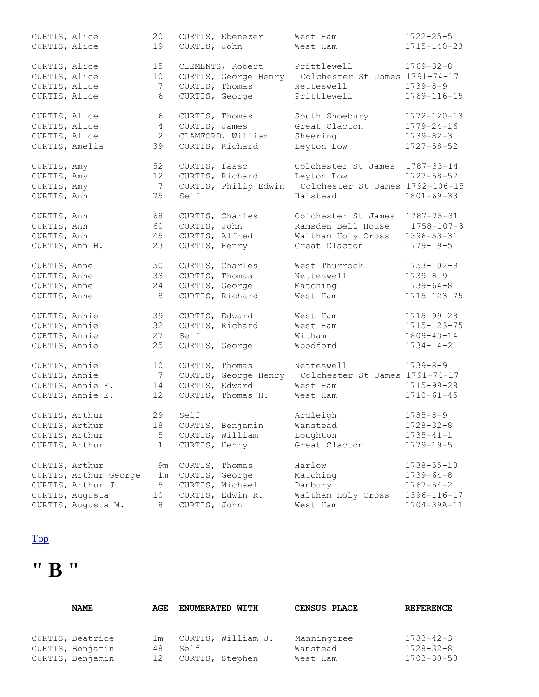| CURTIS, Alice<br>CURTIS, John<br>19<br>West Ham<br>$1769 - 32 - 8$<br>CURTIS, Alice<br>15<br>CLEMENTS, Robert<br>Prittlewell<br>CURTIS, Alice<br>10<br>CURTIS, George Henry Colchester St James 1791-74-17<br>CURTIS, Alice<br>CURTIS, Thomas<br>$1739 - 8 - 9$<br>7<br>Netteswell<br>CURTIS, Alice<br>CURTIS, George<br>6<br>Prittlewell<br>CURTIS, Alice<br>CURTIS, Thomas<br>South Shoebury<br>6<br>CURTIS, Alice<br>CURTIS, James<br>Great Clacton<br>$1779 - 24 - 16$<br>$4^{\circ}$<br>CURTIS, Alice<br>$\overline{2}$<br>CLAMFORD, William<br>Sheering<br>$1739 - 82 - 3$<br>CURTIS, Amelia<br>CURTIS, Richard<br>Leyton Low<br>$1727 - 58 - 52$<br>39<br>52<br>CURTIS, Iassc<br>Colchester St James<br>CURTIS, Amy<br>CURTIS, Richard<br>12<br>Leyton Low<br>$1727 - 58 - 52$<br>CURTIS, Amy<br>$\overline{7}$<br>CURTIS, Philip Edwin<br>Colchester St James 1792-106-15<br>CURTIS, Amy<br>$1801 - 69 - 33$<br>CURTIS, Ann<br>75<br>Self<br>Halstead<br>CURTIS, Ann<br>CURTIS, Charles | CURTIS, Alice | 20 | CURTIS, Ebenezer | West Ham            | $1722 - 25 - 51$  |
|-------------------------------------------------------------------------------------------------------------------------------------------------------------------------------------------------------------------------------------------------------------------------------------------------------------------------------------------------------------------------------------------------------------------------------------------------------------------------------------------------------------------------------------------------------------------------------------------------------------------------------------------------------------------------------------------------------------------------------------------------------------------------------------------------------------------------------------------------------------------------------------------------------------------------------------------------------------------------------------------------|---------------|----|------------------|---------------------|-------------------|
|                                                                                                                                                                                                                                                                                                                                                                                                                                                                                                                                                                                                                                                                                                                                                                                                                                                                                                                                                                                                 |               |    |                  |                     | $1715 - 140 - 23$ |
|                                                                                                                                                                                                                                                                                                                                                                                                                                                                                                                                                                                                                                                                                                                                                                                                                                                                                                                                                                                                 |               |    |                  |                     |                   |
|                                                                                                                                                                                                                                                                                                                                                                                                                                                                                                                                                                                                                                                                                                                                                                                                                                                                                                                                                                                                 |               |    |                  |                     |                   |
|                                                                                                                                                                                                                                                                                                                                                                                                                                                                                                                                                                                                                                                                                                                                                                                                                                                                                                                                                                                                 |               |    |                  |                     |                   |
|                                                                                                                                                                                                                                                                                                                                                                                                                                                                                                                                                                                                                                                                                                                                                                                                                                                                                                                                                                                                 |               |    |                  |                     |                   |
|                                                                                                                                                                                                                                                                                                                                                                                                                                                                                                                                                                                                                                                                                                                                                                                                                                                                                                                                                                                                 |               |    |                  |                     | $1769 - 116 - 15$ |
|                                                                                                                                                                                                                                                                                                                                                                                                                                                                                                                                                                                                                                                                                                                                                                                                                                                                                                                                                                                                 |               |    |                  |                     | $1772 - 120 - 13$ |
|                                                                                                                                                                                                                                                                                                                                                                                                                                                                                                                                                                                                                                                                                                                                                                                                                                                                                                                                                                                                 |               |    |                  |                     |                   |
|                                                                                                                                                                                                                                                                                                                                                                                                                                                                                                                                                                                                                                                                                                                                                                                                                                                                                                                                                                                                 |               |    |                  |                     |                   |
|                                                                                                                                                                                                                                                                                                                                                                                                                                                                                                                                                                                                                                                                                                                                                                                                                                                                                                                                                                                                 |               |    |                  |                     |                   |
|                                                                                                                                                                                                                                                                                                                                                                                                                                                                                                                                                                                                                                                                                                                                                                                                                                                                                                                                                                                                 |               |    |                  |                     | 1787-33-14        |
|                                                                                                                                                                                                                                                                                                                                                                                                                                                                                                                                                                                                                                                                                                                                                                                                                                                                                                                                                                                                 |               |    |                  |                     |                   |
|                                                                                                                                                                                                                                                                                                                                                                                                                                                                                                                                                                                                                                                                                                                                                                                                                                                                                                                                                                                                 |               |    |                  |                     |                   |
|                                                                                                                                                                                                                                                                                                                                                                                                                                                                                                                                                                                                                                                                                                                                                                                                                                                                                                                                                                                                 |               |    |                  |                     |                   |
|                                                                                                                                                                                                                                                                                                                                                                                                                                                                                                                                                                                                                                                                                                                                                                                                                                                                                                                                                                                                 |               | 68 |                  | Colchester St James | $1787 - 75 - 31$  |
| CURTIS, Ann<br>CURTIS, John<br>Ramsden Bell House<br>60                                                                                                                                                                                                                                                                                                                                                                                                                                                                                                                                                                                                                                                                                                                                                                                                                                                                                                                                         |               |    |                  |                     | $1758 - 107 - 3$  |
| CURTIS, Alfred<br>$1396 - 53 - 31$<br>CURTIS, Ann<br>45<br>Waltham Holy Cross                                                                                                                                                                                                                                                                                                                                                                                                                                                                                                                                                                                                                                                                                                                                                                                                                                                                                                                   |               |    |                  |                     |                   |
| CURTIS, Ann H.<br>23<br>CURTIS, Henry<br>Great Clacton<br>$1779 - 19 - 5$                                                                                                                                                                                                                                                                                                                                                                                                                                                                                                                                                                                                                                                                                                                                                                                                                                                                                                                       |               |    |                  |                     |                   |
|                                                                                                                                                                                                                                                                                                                                                                                                                                                                                                                                                                                                                                                                                                                                                                                                                                                                                                                                                                                                 |               |    |                  |                     |                   |
| CURTIS, Anne<br>50<br>CURTIS, Charles<br>West Thurrock<br>$1753 - 102 - 9$                                                                                                                                                                                                                                                                                                                                                                                                                                                                                                                                                                                                                                                                                                                                                                                                                                                                                                                      |               |    |                  |                     |                   |
| 33<br>CURTIS, Thomas<br>$1739 - 8 - 9$<br>CURTIS, Anne<br>Netteswell                                                                                                                                                                                                                                                                                                                                                                                                                                                                                                                                                                                                                                                                                                                                                                                                                                                                                                                            |               |    |                  |                     |                   |
| CURTIS, Anne<br>CURTIS, George<br>Matching<br>24<br>$1739 - 64 - 8$                                                                                                                                                                                                                                                                                                                                                                                                                                                                                                                                                                                                                                                                                                                                                                                                                                                                                                                             |               |    |                  |                     |                   |
| CURTIS, Richard<br>CURTIS, Anne<br>8<br>West Ham                                                                                                                                                                                                                                                                                                                                                                                                                                                                                                                                                                                                                                                                                                                                                                                                                                                                                                                                                |               |    |                  |                     | 1715-123-75       |
| CURTIS, Annie<br>39<br>CURTIS, Edward<br>$1715 - 99 - 28$<br>West Ham                                                                                                                                                                                                                                                                                                                                                                                                                                                                                                                                                                                                                                                                                                                                                                                                                                                                                                                           |               |    |                  |                     |                   |
| CURTIS, Richard<br>CURTIS, Annie<br>32<br>West Ham                                                                                                                                                                                                                                                                                                                                                                                                                                                                                                                                                                                                                                                                                                                                                                                                                                                                                                                                              |               |    |                  |                     | 1715-123-75       |
| CURTIS, Annie<br>$1809 - 43 - 14$<br>27<br>Self<br>Witham                                                                                                                                                                                                                                                                                                                                                                                                                                                                                                                                                                                                                                                                                                                                                                                                                                                                                                                                       |               |    |                  |                     |                   |
| CURTIS, Annie<br>CURTIS, George<br>25<br>Woodford<br>$1734 - 14 - 21$                                                                                                                                                                                                                                                                                                                                                                                                                                                                                                                                                                                                                                                                                                                                                                                                                                                                                                                           |               |    |                  |                     |                   |
| CURTIS, Annie<br>$1739 - 8 - 9$<br>10<br>CURTIS, Thomas<br>Netteswell                                                                                                                                                                                                                                                                                                                                                                                                                                                                                                                                                                                                                                                                                                                                                                                                                                                                                                                           |               |    |                  |                     |                   |
| CURTIS, Annie<br>$\overline{7}$<br>CURTIS, George Henry Colchester St James 1791-74-17                                                                                                                                                                                                                                                                                                                                                                                                                                                                                                                                                                                                                                                                                                                                                                                                                                                                                                          |               |    |                  |                     |                   |
| CURTIS, Annie E.<br>CURTIS, Edward<br>$1715 - 99 - 28$<br>West Ham<br>14                                                                                                                                                                                                                                                                                                                                                                                                                                                                                                                                                                                                                                                                                                                                                                                                                                                                                                                        |               |    |                  |                     |                   |
| CURTIS, Annie E.<br>$1710 - 61 - 45$<br>12<br>CURTIS, Thomas H.<br>West Ham                                                                                                                                                                                                                                                                                                                                                                                                                                                                                                                                                                                                                                                                                                                                                                                                                                                                                                                     |               |    |                  |                     |                   |
|                                                                                                                                                                                                                                                                                                                                                                                                                                                                                                                                                                                                                                                                                                                                                                                                                                                                                                                                                                                                 |               |    |                  |                     |                   |
| Self<br>$1785 - 8 - 9$<br>CURTIS, Arthur<br>29<br>Ardleigh                                                                                                                                                                                                                                                                                                                                                                                                                                                                                                                                                                                                                                                                                                                                                                                                                                                                                                                                      |               |    |                  |                     |                   |
| CURTIS, Arthur<br>18 CURTIS, Benjamin<br>$1728 - 32 - 8$<br>Wanstead                                                                                                                                                                                                                                                                                                                                                                                                                                                                                                                                                                                                                                                                                                                                                                                                                                                                                                                            |               |    |                  |                     |                   |
| CURTIS, Arthur<br>CURTIS, William<br>5<br>Loughton<br>$1735 - 41 - 1$                                                                                                                                                                                                                                                                                                                                                                                                                                                                                                                                                                                                                                                                                                                                                                                                                                                                                                                           |               |    |                  |                     |                   |
| CURTIS, Arthur<br>$\mathbf 1$<br>CURTIS, Henry<br>Great Clacton<br>$1779 - 19 - 5$                                                                                                                                                                                                                                                                                                                                                                                                                                                                                                                                                                                                                                                                                                                                                                                                                                                                                                              |               |    |                  |                     |                   |
| Harlow<br>$1738 - 55 - 10$<br>CURTIS, Arthur<br>CURTIS, Thomas<br>9m                                                                                                                                                                                                                                                                                                                                                                                                                                                                                                                                                                                                                                                                                                                                                                                                                                                                                                                            |               |    |                  |                     |                   |
| CURTIS, Arthur George<br>CURTIS, George<br>Matching<br>$1739 - 64 - 8$<br>1 <sub>m</sub>                                                                                                                                                                                                                                                                                                                                                                                                                                                                                                                                                                                                                                                                                                                                                                                                                                                                                                        |               |    |                  |                     |                   |
| CURTIS, Arthur J.<br>5<br>CURTIS, Michael<br>Danbury<br>$1767 - 54 - 2$                                                                                                                                                                                                                                                                                                                                                                                                                                                                                                                                                                                                                                                                                                                                                                                                                                                                                                                         |               |    |                  |                     |                   |
| CURTIS, Augusta<br>10<br>CURTIS, Edwin R.<br>Waltham Holy Cross                                                                                                                                                                                                                                                                                                                                                                                                                                                                                                                                                                                                                                                                                                                                                                                                                                                                                                                                 |               |    |                  |                     | 1396-116-17       |
| CURTIS, John<br>CURTIS, Augusta M.<br>8<br>West Ham                                                                                                                                                                                                                                                                                                                                                                                                                                                                                                                                                                                                                                                                                                                                                                                                                                                                                                                                             |               |    |                  |                     | $1704 - 39A - 11$ |

# **" B "**

| <b>NAME</b>      | AGE             | <b>ENUMERATED WITH</b> | CENSUS PLACE | <b>REFERENCE</b> |
|------------------|-----------------|------------------------|--------------|------------------|
|                  |                 |                        |              |                  |
|                  |                 |                        |              |                  |
| CURTIS, Beatrice | 1 m             | CURTIS, William J.     | Manningtree  | $1783 - 42 - 3$  |
| CURTIS, Benjamin | 48              | Self                   | Wanstead     | $1728 - 32 - 8$  |
| CURTIS, Benjamin | 12 <sup>2</sup> | CURTIS, Stephen        | West Ham     | $1703 - 30 - 53$ |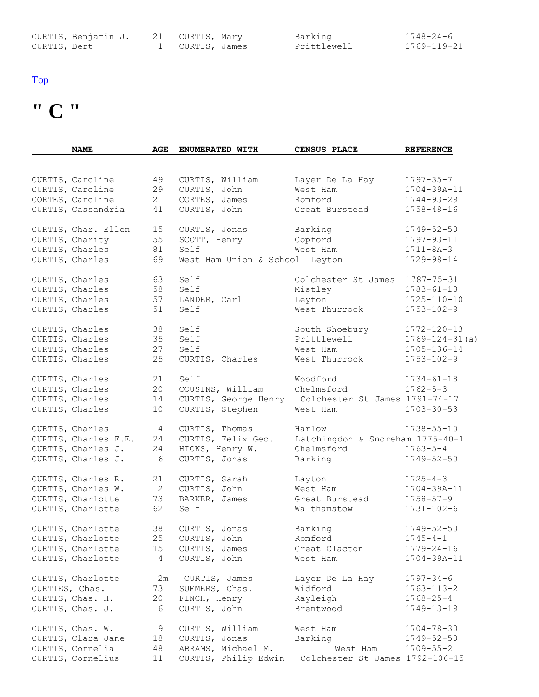|              | CURTIS, Benjamin J. 21 CURTIS, Mary |                 | Barking     | $1748 - 24 - 6$ |
|--------------|-------------------------------------|-----------------|-------------|-----------------|
| CURTIS, Bert |                                     | 1 CURTIS, James | Prittlewell | 1769-119-21     |

# **" C "**

| <b>NAME</b>          | <b>AGE</b>     | ENUMERATED WITH                | CENSUS PLACE                     | <b>REFERENCE</b>     |
|----------------------|----------------|--------------------------------|----------------------------------|----------------------|
|                      |                |                                |                                  |                      |
| CURTIS, Caroline     | 49             | CURTIS, William                | Layer De La Hay                  | $1797 - 35 - 7$      |
| CURTIS, Caroline     | 29             | CURTIS, John                   | West Ham                         | $1704 - 39A - 11$    |
| CORTES, Caroline     | $\overline{2}$ | CORTES, James                  | Romford                          | $1744 - 93 - 29$     |
| CURTIS, Cassandria   | 41             | CURTIS, John                   | Great Burstead                   | $1758 - 48 - 16$     |
|                      |                |                                |                                  |                      |
| CURTIS, Char. Ellen  | 15             | CURTIS, Jonas                  | Barking                          | $1749 - 52 - 50$     |
| CURTIS, Charity      | 55             | SCOTT, Henry                   | Copford                          | $1797 - 93 - 11$     |
| CURTIS, Charles      | 81             | Self                           | West Ham                         | $1711 - 8A - 3$      |
| CURTIS, Charles      | 69             | West Ham Union & School Leyton |                                  | $1729 - 98 - 14$     |
| CURTIS, Charles      | 63             | Self                           | Colchester St James              | $1787 - 75 - 31$     |
| CURTIS, Charles      | 58             | Self                           | Mistley                          | $1783 - 61 - 13$     |
| CURTIS, Charles      | 57             | LANDER, Carl                   | Leyton                           | $1725 - 110 - 10$    |
| CURTIS, Charles      | 51             | Self                           | West Thurrock                    | $1753 - 102 - 9$     |
| CURTIS, Charles      | 38             | Self                           | South Shoebury                   | 1772-120-13          |
| CURTIS, Charles      | 35             | Self                           | Prittlewell                      | $1769 - 124 - 31(a)$ |
|                      |                |                                |                                  |                      |
| CURTIS, Charles      | 27             | Self                           | West Ham                         | 1705-136-14          |
| CURTIS, Charles      | 25             | CURTIS, Charles                | West Thurrock                    | $1753 - 102 - 9$     |
| CURTIS, Charles      | 21             | Self                           | Woodford                         | $1734 - 61 - 18$     |
| CURTIS, Charles      | 20             | COUSINS, William               | Chelmsford                       | $1762 - 5 - 3$       |
| CURTIS, Charles      | 14             | CURTIS, George Henry           | Colchester St James 1791-74-17   |                      |
| CURTIS, Charles      | 10             | CURTIS, Stephen                | West Ham                         | $1703 - 30 - 53$     |
| CURTIS, Charles      | 4              | CURTIS, Thomas                 | Harlow                           | $1738 - 55 - 10$     |
| CURTIS, Charles F.E. | 24             | CURTIS, Felix Geo.             | Latchingdon & Snoreham 1775-40-1 |                      |
| CURTIS, Charles J.   | 24             | HICKS, Henry W.                | Chelmsford                       | $1763 - 5 - 4$       |
| CURTIS, Charles J.   | 6              | CURTIS, Jonas                  | Barking                          | $1749 - 52 - 50$     |
| CURTIS, Charles R.   | 21             | CURTIS, Sarah                  | Layton                           | $1725 - 4 - 3$       |
| CURTIS, Charles W.   | 2              | CURTIS, John                   | West Ham                         | $1704 - 39A - 11$    |
| CURTIS, Charlotte    | 73             | BARKER, James                  | Great Burstead                   | $1758 - 57 - 9$      |
| CURTIS, Charlotte    | 62             | Self                           | Walthamstow                      | $1731 - 102 - 6$     |
|                      |                |                                |                                  |                      |
| CURTIS, Charlotte    | 38             | CURTIS, Jonas                  | Barking                          | $1749 - 52 - 50$     |
| CURTIS, Charlotte    |                | 25 CURTIS, John                | Romford                          | $1745 - 4 - 1$       |
| CURTIS, Charlotte    | 15             | CURTIS, James                  | Great Clacton                    | $1779 - 24 - 16$     |
| CURTIS, Charlotte    | $\overline{4}$ | CURTIS, John                   | West Ham                         | $1704 - 39A - 11$    |
| CURTIS, Charlotte    | 2m             | CURTIS, James                  | Layer De La Hay                  | $1797 - 34 - 6$      |
| CURTIES, Chas.       | 73             | SUMMERS, Chas.                 | Widford                          | $1763 - 113 - 2$     |
| CURTIS, Chas. H.     | 20             | FINCH, Henry                   | Rayleigh                         | $1768 - 25 - 4$      |
| CURTIS, Chas. J.     | 6              | CURTIS, John                   | Brentwood                        | $1749 - 13 - 19$     |
|                      |                |                                |                                  |                      |
| CURTIS, Chas. W.     | 9              | CURTIS, William                | West Ham                         | $1704 - 78 - 30$     |
| CURTIS, Clara Jane   | 18             | CURTIS, Jonas                  | Barking                          | $1749 - 52 - 50$     |
| CURTIS, Cornelia     | 48             | ABRAMS, Michael M.             | West Ham                         | $1709 - 55 - 2$      |
| CURTIS, Cornelius    | 11             | CURTIS, Philip Edwin           | Colchester St James 1792-106-15  |                      |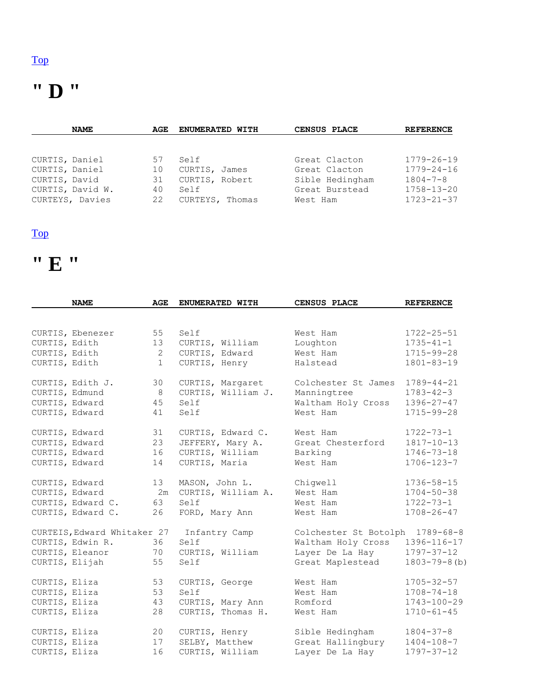# **" D "**

|                | <b>NAME</b>      | AGE | <b>ENUMERATED WITH</b> | CENSUS PLACE    | <b>REFERENCE</b> |
|----------------|------------------|-----|------------------------|-----------------|------------------|
|                |                  |     |                        |                 |                  |
|                |                  |     |                        |                 |                  |
| CURTIS, Daniel |                  | 57  | Self                   | Great Clacton   | $1779 - 26 - 19$ |
| CURTIS, Daniel |                  | 10  | CURTIS, James          | Great Clacton   | $1779 - 24 - 16$ |
| CURTIS, David  |                  | 31  | CURTIS, Robert         | Sible Hedingham | $1804 - 7 - 8$   |
|                | CURTIS, David W. | 40  | Self                   | Great Burstead  | $1758 - 13 - 20$ |
|                | CURTEYS, Davies  | 22  | CURTEYS, Thomas        | West Ham        | $1723 - 21 - 37$ |

#### [Top](http://www.curtis-curtiss.com/pub/archives/extractions/england/essex/1881_census/ess_curtis_idx.html#top)

# **" E "**

|                | <b>NAME</b>                 | <b>AGE</b>   | ENUMERATED WITH    | CENSUS PLACE          | <b>REFERENCE</b>    |
|----------------|-----------------------------|--------------|--------------------|-----------------------|---------------------|
|                |                             |              |                    |                       |                     |
|                | CURTIS, Ebenezer            | 55           | Self               | West Ham              | $1722 - 25 - 51$    |
| CURTIS, Edith  |                             | 13           | CURTIS, William    | Loughton              | $1735 - 41 - 1$     |
| CURTIS, Edith  |                             | $\mathbf{2}$ | CURTIS, Edward     | West Ham              | $1715 - 99 - 28$    |
| CURTIS, Edith  |                             | $\mathbf{1}$ | CURTIS, Henry      | Halstead              | $1801 - 83 - 19$    |
|                | CURTIS, Edith J.            | 30           | CURTIS, Margaret   | Colchester St James   | $1789 - 44 - 21$    |
| CURTIS, Edmund |                             | 8            | CURTIS, William J. | Manningtree           | $1783 - 42 - 3$     |
| CURTIS, Edward |                             | 45           | Self               | Waltham Holy Cross    | $1396 - 27 - 47$    |
| CURTIS, Edward |                             | 41           | Self               | West Ham              | $1715 - 99 - 28$    |
| CURTIS, Edward |                             | 31           | CURTIS, Edward C.  | West Ham              | $1722 - 73 - 1$     |
| CURTIS, Edward |                             | 23           | JEFFERY, Mary A.   | Great Chesterford     | $1817 - 10 - 13$    |
| CURTIS, Edward |                             | 16           | CURTIS, William    | Barking               | $1746 - 73 - 18$    |
| CURTIS, Edward |                             | 14           | CURTIS, Maria      | West Ham              | $1706 - 123 - 7$    |
| CURTIS, Edward |                             | 13           | MASON, John L.     | Chigwell              | $1736 - 58 - 15$    |
| CURTIS, Edward |                             | 2m           | CURTIS, William A. | West Ham              | $1704 - 50 - 38$    |
|                | CURTIS, Edward C.           | 63           | Self               | West Ham              | $1722 - 73 - 1$     |
|                | CURTIS, Edward C.           | 26           | FORD, Mary Ann     | West Ham              | $1708 - 26 - 47$    |
|                | CURTEIS, Edward Whitaker 27 |              | Infantry Camp      | Colchester St Botolph | $1789 - 68 - 8$     |
|                | CURTIS, Edwin R.            | 36           | Self               | Waltham Holy Cross    | 1396-116-17         |
|                | CURTIS, Eleanor             | 70           | CURTIS, William    | Layer De La Hay       | $1797 - 37 - 12$    |
| CURTIS, Elijah |                             | 55           | Self               | Great Maplestead      | $1803 - 79 - 8$ (b) |
| CURTIS, Eliza  |                             | 53           | CURTIS, George     | West Ham              | $1705 - 32 - 57$    |
| CURTIS, Eliza  |                             | 53           | Self               | West Ham              | $1708 - 74 - 18$    |
| CURTIS, Eliza  |                             | 43           | CURTIS, Mary Ann   | Romford               | 1743-100-29         |
| CURTIS, Eliza  |                             | 28           | CURTIS, Thomas H.  | West Ham              | $1710 - 61 - 45$    |
| CURTIS, Eliza  |                             | 20           | CURTIS, Henry      | Sible Hedingham       | $1804 - 37 - 8$     |
| CURTIS, Eliza  |                             | 17           | SELBY, Matthew     | Great Hallingbury     | $1404 - 108 - 7$    |
| CURTIS, Eliza  |                             | 16           | CURTIS, William    | Layer De La Hay       | $1797 - 37 - 12$    |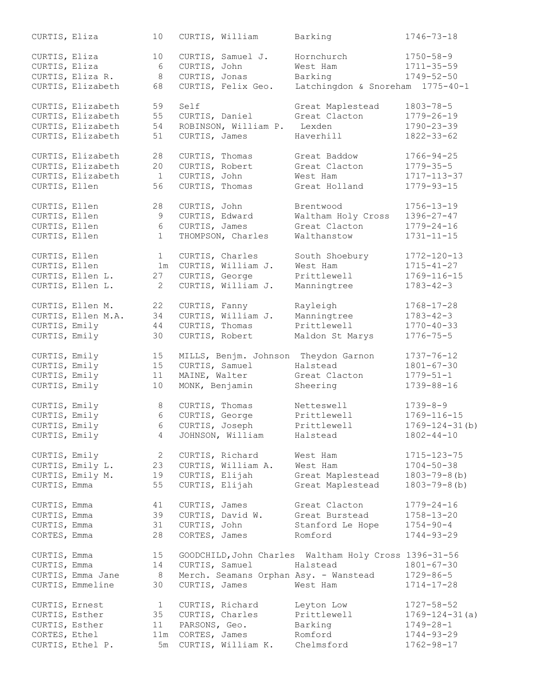| CURTIS, Eliza  |                    | 10              |                 | CURTIS, William      | Barking                                               | $1746 - 73 - 18$     |
|----------------|--------------------|-----------------|-----------------|----------------------|-------------------------------------------------------|----------------------|
| CURTIS, Eliza  |                    | 10              |                 | CURTIS, Samuel J.    | Hornchurch                                            | $1750 - 58 - 9$      |
| CURTIS, Eliza  |                    | 6               | CURTIS, John    |                      | West Ham                                              | $1711 - 35 - 59$     |
|                | CURTIS, Eliza R.   | 8               | CURTIS, Jonas   |                      | Barking                                               | $1749 - 52 - 50$     |
|                | CURTIS, Elizabeth  | 68              |                 | CURTIS, Felix Geo.   | Latchingdon & Snoreham 1775-40-1                      |                      |
|                | CURTIS, Elizabeth  | 59              | Self            |                      | Great Maplestead                                      | $1803 - 78 - 5$      |
|                | CURTIS, Elizabeth  | 55              | CURTIS, Daniel  |                      | Great Clacton                                         | $1779 - 26 - 19$     |
|                | CURTIS, Elizabeth  | 54              |                 | ROBINSON, William P. | Lexden                                                | $1790 - 23 - 39$     |
|                | CURTIS, Elizabeth  | 51              | CURTIS, James   |                      | Haverhill                                             | $1822 - 33 - 62$     |
|                | CURTIS, Elizabeth  | 28              | CURTIS, Thomas  |                      | Great Baddow                                          | $1766 - 94 - 25$     |
|                | CURTIS, Elizabeth  | 20              | CURTIS, Robert  |                      | Great Clacton                                         | $1779 - 35 - 5$      |
|                | CURTIS, Elizabeth  | 1               | CURTIS, John    |                      | West Ham                                              | 1717-113-37          |
| CURTIS, Ellen  |                    | 56              | CURTIS, Thomas  |                      | Great Holland                                         | $1779 - 93 - 15$     |
|                |                    |                 |                 |                      |                                                       |                      |
| CURTIS, Ellen  |                    | 28              | CURTIS, John    |                      | Brentwood                                             | $1756 - 13 - 19$     |
| CURTIS, Ellen  |                    | 9               | CURTIS, Edward  |                      | Waltham Holy Cross                                    | $1396 - 27 - 47$     |
| CURTIS, Ellen  |                    | $\epsilon$      | CURTIS, James   |                      | Great Clacton                                         | $1779 - 24 - 16$     |
| CURTIS, Ellen  |                    | $\mathbf{1}$    |                 | THOMPSON, Charles    | Walthanstow                                           | $1731 - 11 - 15$     |
|                |                    |                 |                 |                      |                                                       |                      |
| CURTIS, Ellen  |                    | $\mathbf{1}$    | CURTIS, Charles |                      | South Shoebury                                        | $1772 - 120 - 13$    |
| CURTIS, Ellen  |                    | 1 <sub>m</sub>  |                 | CURTIS, William J.   | West Ham                                              | $1715 - 41 - 27$     |
|                | CURTIS, Ellen L.   | 27              | CURTIS, George  |                      | Prittlewell                                           | 1769-116-15          |
|                | CURTIS, Ellen L.   | 2               |                 | CURTIS, William J.   | Manningtree                                           | $1783 - 42 - 3$      |
|                | CURTIS, Ellen M.   | 22              | CURTIS, Fanny   |                      | Rayleigh                                              | $1768 - 17 - 28$     |
|                | CURTIS, Ellen M.A. | 34              |                 | CURTIS, William J.   | Manningtree                                           | $1783 - 42 - 3$      |
| CURTIS, Emily  |                    | 44              | CURTIS, Thomas  |                      | Prittlewell                                           | $1770 - 40 - 33$     |
| CURTIS, Emily  |                    | 30              | CURTIS, Robert  |                      | Maldon St Marys                                       | $1776 - 75 - 5$      |
|                |                    |                 |                 |                      |                                                       |                      |
| CURTIS, Emily  |                    | 15              |                 |                      | MILLS, Benjm. Johnson Theydon Garnon                  | $1737 - 76 - 12$     |
| CURTIS, Emily  |                    | 15              | CURTIS, Samuel  |                      | Halstead                                              | $1801 - 67 - 30$     |
| CURTIS, Emily  |                    | 11              | MAINE, Walter   |                      | Great Clacton                                         | $1779 - 51 - 1$      |
| CURTIS, Emily  |                    | 10              | MONK, Benjamin  |                      | Sheering                                              | $1739 - 88 - 16$     |
| CURTIS, Emily  |                    | 8               | CURTIS, Thomas  |                      | Netteswell                                            | $1739 - 8 - 9$       |
| CURTIS, Emily  |                    | $6\phantom{.}6$ | CURTIS, George  |                      | Prittlewell                                           | 1769-116-15          |
| CURTIS, Emily  |                    | 6               |                 | CURTIS, Joseph       | Prittlewell                                           | $1769 - 124 - 31(b)$ |
| CURTIS, Emily  |                    | 4               |                 | JOHNSON, William     | Halstead                                              | $1802 - 44 - 10$     |
| CURTIS, Emily  |                    | 2               |                 | CURTIS, Richard      | West Ham                                              | $1715 - 123 - 75$    |
|                | CURTIS, Emily L.   | 23              |                 | CURTIS, William A.   | West Ham                                              | $1704 - 50 - 38$     |
|                | CURTIS, Emily M.   | 19              | CURTIS, Elijah  |                      | Great Maplestead                                      | $1803 - 79 - 8$ (b)  |
| CURTIS, Emma   |                    | 55              |                 | CURTIS, Elijah       | Great Maplestead                                      | $1803 - 79 - 8$ (b)  |
|                |                    |                 |                 |                      |                                                       |                      |
| CURTIS, Emma   |                    | 41              | CURTIS, James   |                      | Great Clacton                                         | $1779 - 24 - 16$     |
| CURTIS, Emma   |                    | 39              |                 | CURTIS, David W.     | Great Burstead                                        | $1758 - 13 - 20$     |
| CURTIS, Emma   |                    | 31              | CURTIS, John    |                      | Stanford Le Hope                                      | $1754 - 90 - 4$      |
| CORTES, Emma   |                    | 28              | CORTES, James   |                      | Romford                                               | $1744 - 93 - 29$     |
| CURTIS, Emma   |                    | 15              |                 |                      | GOODCHILD, John Charles Waltham Holy Cross 1396-31-56 |                      |
| CURTIS, Emma   |                    | 14              | CURTIS, Samuel  |                      | Halstead                                              | $1801 - 67 - 30$     |
|                | CURTIS, Emma Jane  | 8 <sup>8</sup>  |                 |                      | Merch. Seamans Orphan Asy. - Wanstead                 | 1729-86-5            |
|                | CURTIS, Emmeline   | 30              | CURTIS, James   |                      | West Ham                                              | $1714 - 17 - 28$     |
|                |                    |                 |                 |                      |                                                       |                      |
| CURTIS, Ernest |                    | $\mathbf{1}$    |                 | CURTIS, Richard      | Leyton Low                                            | $1727 - 58 - 52$     |
| CURTIS, Esther |                    | 35              |                 | CURTIS, Charles      | Prittlewell                                           | $1769 - 124 - 31(a)$ |
|                | CURTIS, Esther     | 11              | PARSONS, Geo.   |                      | Barking                                               | $1749 - 28 - 1$      |
| CORTES, Ethel  |                    | 11m             |                 | CORTES, James        | Romford                                               | $1744 - 93 - 29$     |
|                | CURTIS, Ethel P.   | 5m              |                 | CURTIS, William K.   | Chelmsford                                            | $1762 - 98 - 17$     |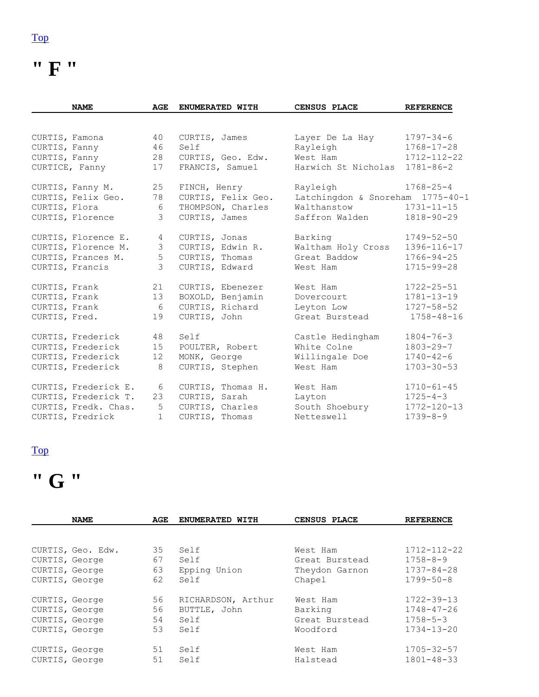**" F "** 

|                | <b>NAME</b>          | AGE               | ENUMERATED WITH    | CENSUS PLACE                     | <b>REFERENCE</b>  |
|----------------|----------------------|-------------------|--------------------|----------------------------------|-------------------|
|                |                      |                   |                    |                                  |                   |
| CURTIS, Famona |                      | 40                | CURTIS, James      | Layer De La Hay                  | $1797 - 34 - 6$   |
| CURTIS, Fanny  |                      | 46                | Self               | Rayleigh                         | $1768 - 17 - 28$  |
| CURTIS, Fanny  |                      | 28                | CURTIS, Geo. Edw.  | West Ham                         | $1712 - 112 - 22$ |
|                | CURTICE, Fanny       | 17                | FRANCIS, Samuel    | Harwich St Nicholas              | $1781 - 86 - 2$   |
|                | CURTIS, Fanny M.     | 25                | FINCH, Henry       | Rayleigh                         | $1768 - 25 - 4$   |
|                | CURTIS, Felix Geo.   | 78                | CURTIS, Felix Geo. | Latchingdon & Snoreham 1775-40-1 |                   |
| CURTIS, Flora  |                      | 6                 | THOMPSON, Charles  | Walthanstow                      | $1731 - 11 - 15$  |
|                | CURTIS, Florence     | 3                 | CURTIS, James      | Saffron Walden                   | $1818 - 90 - 29$  |
|                | CURTIS, Florence E.  | $\overline{4}$    | CURTIS, Jonas      | Barking                          | $1749 - 52 - 50$  |
|                | CURTIS, Florence M.  | 3                 | CURTIS, Edwin R.   | Waltham Holy Cross               | 1396-116-17       |
|                | CURTIS, Frances M.   | 5                 | CURTIS, Thomas     | Great Baddow                     | $1766 - 94 - 25$  |
|                | CURTIS, Francis      | 3                 | CURTIS, Edward     | West Ham                         | $1715 - 99 - 28$  |
| CURTIS, Frank  |                      | 21                | CURTIS, Ebenezer   | West Ham                         | $1722 - 25 - 51$  |
| CURTIS, Frank  |                      | 13                | BOXOLD, Benjamin   | Dovercourt                       | $1781 - 13 - 19$  |
| CURTIS, Frank  |                      | 6                 | CURTIS, Richard    | Leyton Low                       | $1727 - 58 - 52$  |
| CURTIS, Fred.  |                      | 19                | CURTIS, John       | Great Burstead                   | $1758 - 48 - 16$  |
|                | CURTIS, Frederick    | 48                | Self               | Castle Hedingham                 | $1804 - 76 - 3$   |
|                | CURTIS, Frederick    | 15                | POULTER, Robert    | White Colne                      | $1803 - 29 - 7$   |
|                | CURTIS, Frederick    | $12 \overline{ }$ | MONK, George       | Willingale Doe                   | $1740 - 42 - 6$   |
|                | CURTIS, Frederick    | $\,8\,$           | CURTIS, Stephen    | West Ham                         | $1703 - 30 - 53$  |
|                | CURTIS, Frederick E. | 6                 | CURTIS, Thomas H.  | West Ham                         | $1710 - 61 - 45$  |
|                | CURTIS, Frederick T. | 23                | CURTIS, Sarah      | Layton                           | $1725 - 4 - 3$    |
|                | CURTIS, Fredk. Chas. | 5                 | CURTIS, Charles    | South Shoebury                   | $1772 - 120 - 13$ |
|                | CURTIS, Fredrick     | $\mathbf{1}$      | CURTIS, Thomas     | Netteswell                       | $1739 - 8 - 9$    |

# **" G "**

|                                                                      | <b>NAME</b>       | AGE                  | <b>ENUMERATED</b><br>WITH                          | CENSUS PLACE                                           | <b>REFERENCE</b>                                                           |
|----------------------------------------------------------------------|-------------------|----------------------|----------------------------------------------------|--------------------------------------------------------|----------------------------------------------------------------------------|
|                                                                      |                   |                      |                                                    |                                                        |                                                                            |
| CURTIS, George<br>CURTIS, George<br>CURTIS, George                   | CURTIS, Geo. Edw. | 35<br>67<br>63<br>62 | Self<br>Self<br>Epping Union<br>Self               | West Ham<br>Great Burstead<br>Theydon Garnon<br>Chapel | $1712 - 112 - 22$<br>$1758 - 8 - 9$<br>$1737 - 84 - 28$<br>$1799 - 50 - 8$ |
| CURTIS, George<br>CURTIS, George<br>CURTIS, George<br>CURTIS, George |                   | 56<br>56<br>54<br>53 | RICHARDSON, Arthur<br>BUTTLE, John<br>Self<br>Self | West Ham<br>Barking<br>Great Burstead<br>Woodford      | $1722 - 39 - 13$<br>$1748 - 47 - 26$<br>$1758 - 5 - 3$<br>$1734 - 13 - 20$ |
| CURTIS, George<br>CURTIS, George                                     |                   | 51<br>51             | Self<br>Self                                       | West Ham<br>Halstead                                   | $1705 - 32 - 57$<br>$1801 - 48 - 33$                                       |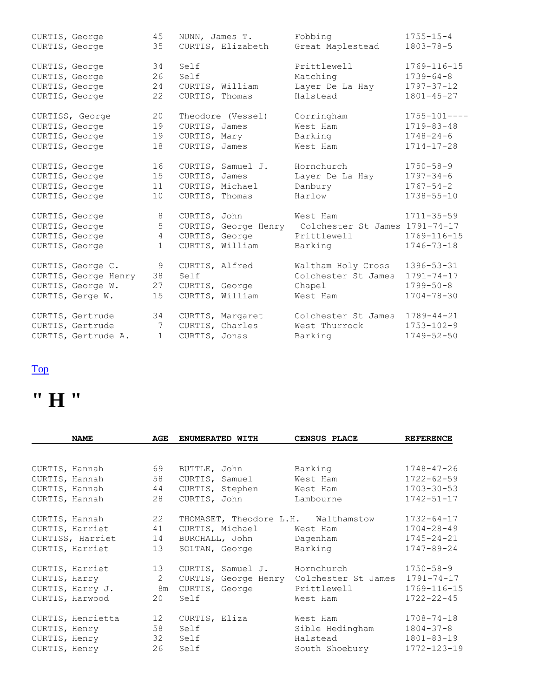| CURTIS, George |                                    | 45              |                | NUNN, James T.    | Fobbing                                             | $1755 - 15 - 4$    |
|----------------|------------------------------------|-----------------|----------------|-------------------|-----------------------------------------------------|--------------------|
| CURTIS, George |                                    | 35              |                |                   | CURTIS, Elizabeth Great Maplestead                  | $1803 - 78 - 5$    |
| CURTIS, George |                                    | 34              | Self           |                   | Prittlewell                                         | $1769 - 116 - 15$  |
| CURTIS, George |                                    | 26              | Self           |                   | Matching                                            | $1739 - 64 - 8$    |
| CURTIS, George |                                    | 24              |                | CURTIS, William   | Layer De La Hay                                     | $1797 - 37 - 12$   |
| CURTIS, George |                                    | 22              | CURTIS, Thomas |                   | Halstead                                            | $1801 - 45 - 27$   |
|                | CURTISS, George                    | 20              |                | Theodore (Vessel) | Corringham                                          | $1755 - 101 - - -$ |
| CURTIS, George |                                    | 19              | CURTIS, James  |                   | West Ham                                            | $1719 - 83 - 48$   |
| CURTIS, George |                                    | 19              |                | CURTIS, Mary      | Barking                                             | $1748 - 24 - 6$    |
| CURTIS, George |                                    | 18              |                | CURTIS, James     | West Ham                                            | $1714 - 17 - 28$   |
| CURTIS, George |                                    | 16              |                | CURTIS, Samuel J. | Hornchurch                                          | $1750 - 58 - 9$    |
| CURTIS, George |                                    | 15              | CURTIS, James  |                   | Layer De La Hay                                     | $1797 - 34 - 6$    |
| CURTIS, George |                                    | 11              |                | CURTIS, Michael   | Danbury                                             | $1767 - 54 - 2$    |
| CURTIS, George |                                    | 10              |                | CURTIS, Thomas    | Harlow                                              | $1738 - 55 - 10$   |
| CURTIS, George |                                    | 8               |                | CURTIS, John      | West Ham                                            | $1711 - 35 - 59$   |
| CURTIS, George |                                    | 5               |                |                   | CURTIS, George Henry Colchester St James 1791-74-17 |                    |
| CURTIS, George |                                    | $4\overline{ }$ |                |                   | CURTIS, George Prittlewell                          | 1769-116-15        |
| CURTIS, George |                                    | $\mathbf 1$     |                | CURTIS, William   | Barking                                             | $1746 - 73 - 18$   |
|                | CURTIS, George C.                  | 9               |                | CURTIS, Alfred    | Waltham Holy Cross                                  | $1396 - 53 - 31$   |
|                | CURTIS, George Henry 38            |                 | Self           |                   | Colchester St James                                 | $1791 - 74 - 17$   |
|                | CURTIS, George W.                  | 27              |                | CURTIS, George    | Chapel                                              | $1799 - 50 - 8$    |
|                | CURTIS, Gerge W.                   | 15              |                | CURTIS, William   | West Ham                                            | $1704 - 78 - 30$   |
|                | 34<br>CURTIS, Gertrude             |                 |                | CURTIS, Margaret  | Colchester St James                                 | $1789 - 44 - 21$   |
|                | CURTIS, Gertrude<br>$\overline{7}$ |                 |                | CURTIS, Charles   | West Thurrock                                       | $1753 - 102 - 9$   |
|                | CURTIS, Gertrude A.                | $\mathbf{1}$    | CURTIS, Jonas  |                   | Barking                                             | $1749 - 52 - 50$   |

# **" H "**

|               | <b>NAME</b>       | AGE            | ENUMERATED WITH                     | CENSUS PLACE        | <b>REFERENCE</b>  |
|---------------|-------------------|----------------|-------------------------------------|---------------------|-------------------|
|               |                   |                |                                     |                     |                   |
|               | CURTIS, Hannah    | 69             | BUTTLE, John                        | Barking             | $1748 - 47 - 26$  |
|               | CURTIS, Hannah    | 58             | CURTIS, Samuel                      | West Ham            | $1722 - 62 - 59$  |
|               | CURTIS, Hannah    | 44             | CURTIS, Stephen                     | West Ham            | $1703 - 30 - 53$  |
|               | CURTIS, Hannah    | 28             | CURTIS, John                        | Lambourne           | $1742 - 51 - 17$  |
|               | CURTIS, Hannah    | 22             | THOMASET, Theodore L.H. Walthamstow |                     | $1732 - 64 - 17$  |
|               | CURTIS, Harriet   | 41             | CURTIS, Michael West Ham            |                     | $1704 - 28 - 49$  |
|               | CURTISS, Harriet  | 14             | BURCHALL, John Dagenham             |                     | $1745 - 24 - 21$  |
|               | CURTIS, Harriet   | 13             | SOLTAN, George                      | Barking             | 1747-89-24        |
|               | CURTIS, Harriet   | 13             | CURTIS, Samuel J. Hornchurch        |                     | $1750 - 58 - 9$   |
| CURTIS, Harry |                   | $\overline{2}$ | CURTIS, George Henry                | Colchester St James | $1791 - 74 - 17$  |
|               | CURTIS, Harry J.  | 8m             | CURTIS, George                      | Prittlewell         | 1769-116-15       |
|               | CURTIS, Harwood   | 20             | Self                                | West Ham            | $1722 - 22 - 45$  |
|               | CURTIS, Henrietta | 12             | CURTIS, Eliza                       | West Ham            | $1708 - 74 - 18$  |
| CURTIS, Henry |                   | 58             | Self                                | Sible Hedingham     | $1804 - 37 - 8$   |
|               | CURTIS, Henry     |                | 32 Self                             | Halstead            | $1801 - 83 - 19$  |
| CURTIS, Henry |                   | 26             | Self                                | South Shoebury      | $1772 - 123 - 19$ |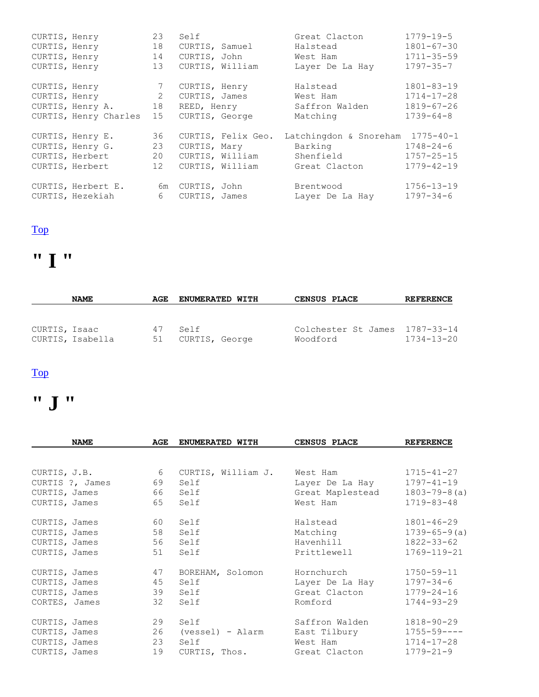| CURTIS, Henry |                                    | 23              | Self            |                    | Great Clacton                    | $1779 - 19 - 5$  |
|---------------|------------------------------------|-----------------|-----------------|--------------------|----------------------------------|------------------|
| CURTIS, Henry |                                    | 18              |                 | CURTIS, Samuel     | Halstead                         | $1801 - 67 - 30$ |
|               | CURTIS, Henry                      | 14              | CURTIS, John    |                    | West Ham                         | $1711 - 35 - 59$ |
| CURTIS, Henry |                                    | 13              | CURTIS, William |                    | Layer De La Hay                  | $1797 - 35 - 7$  |
|               |                                    |                 |                 |                    |                                  |                  |
| CURTIS, Henry |                                    | $7\phantom{.0}$ | CURTIS, Henry   |                    | Halstead                         | $1801 - 83 - 19$ |
|               | CURTIS, Henry                      | 2               |                 | CURTIS, James      | West Ham                         | $1714 - 17 - 28$ |
|               | CURTIS, Henry A. 18                |                 | REED, Henry     |                    | Saffron Walden                   | $1819 - 67 - 26$ |
|               | CURTIS, Henry Charles              | 15              | CURTIS, George  |                    | Matching                         | $1739 - 64 - 8$  |
|               | CURTIS, Henry E.                   | 36              |                 | CURTIS, Felix Geo. | Latchingdon & Snoreham 1775-40-1 |                  |
|               | CURTIS, Henry G.                   | 23              | CURTIS, Mary    |                    | Barking Sandar                   | $1748 - 24 - 6$  |
|               | CURTIS, Herbert                    | 20              |                 | CURTIS, William    | Shenfield                        | $1757 - 25 - 15$ |
|               | CURTIS, Herbert                    | 12              |                 | CURTIS, William    | Great Clacton                    | $1779 - 42 - 19$ |
|               |                                    |                 |                 |                    |                                  | $1756 - 13 - 19$ |
|               | CURTIS, Herbert E. 6m CURTIS, John |                 |                 |                    | Brentwood                        |                  |
|               | CURTIS, Hezekiah                   | 6               | CURTIS, James   |                    | Layer De La Hay                  | $1797 - 34 - 6$  |

# **" I "**

| <b>NAME</b>      | AGE | <b>ENUMERATED WITH</b> | CENSUS PLACE                   | <b>REFERENCE</b> |
|------------------|-----|------------------------|--------------------------------|------------------|
| CURTIS, Isaac    | 47  | Self                   | Colchester St James 1787-33-14 | $1734 - 13 - 20$ |
| CURTIS, Isabella | 51  | CURTIS, George         | Woodford                       |                  |

### [Top](http://www.curtis-curtiss.com/pub/archives/extractions/england/essex/1881_census/ess_curtis_idx.html#top)

# **" J "**

|               | <b>NAME</b>     | AGE             | ENUMERATED WITH     | CENSUS PLACE                | <b>REFERENCE</b>    |
|---------------|-----------------|-----------------|---------------------|-----------------------------|---------------------|
|               |                 |                 |                     |                             |                     |
|               | CURTIS, J.B.    | $6\overline{6}$ | CURTIS, William J.  | West Ham                    | 1715-41-27          |
|               | CURTIS ?, James | 69              | Self                | Layer De La Hay             | $1797 - 41 - 19$    |
| CURTIS, James |                 |                 | 66 Self             | Great Maplestead            | $1803 - 79 - 8(a)$  |
| CURTIS, James |                 | 65              | Self                | West Ham                    | $1719 - 83 - 48$    |
| CURTIS, James |                 | 60              | Self                | Halstead                    | $1801 - 46 - 29$    |
| CURTIS, James |                 | 58              | Self                | Matching                    | $1739 - 65 - 9$ (a) |
| CURTIS, James |                 | 56              | Self                | Havenhill                   | 1822-33-62          |
| CURTIS, James |                 | 51              | Self                | Prittlewell                 | 1769-119-21         |
| CURTIS, James |                 |                 | 47 BOREHAM, Solomon | Hornchurch                  | $1750 - 59 - 11$    |
| CURTIS, James |                 | 45              | Self                | Layer De La Hay             | $1797 - 34 - 6$     |
| CURTIS, James |                 | 39              | Self                | Great Clacton               | $1779 - 24 - 16$    |
| CORTES, James |                 | 32              | Self                | Romford                     | $1744 - 93 - 29$    |
| CURTIS, James |                 | 29              | Self                | Saffron Walden              | 1818-90-29          |
| CURTIS, James |                 |                 | 26 (vessel) - Alarm | East Tilbury                | $1755 - 59 - - -$   |
| CURTIS, James |                 | 23              | Self                | West Ham                    | 1714-17-28          |
| CURTIS, James |                 | 19              |                     | CURTIS, Thos. Great Clacton | $1779 - 21 - 9$     |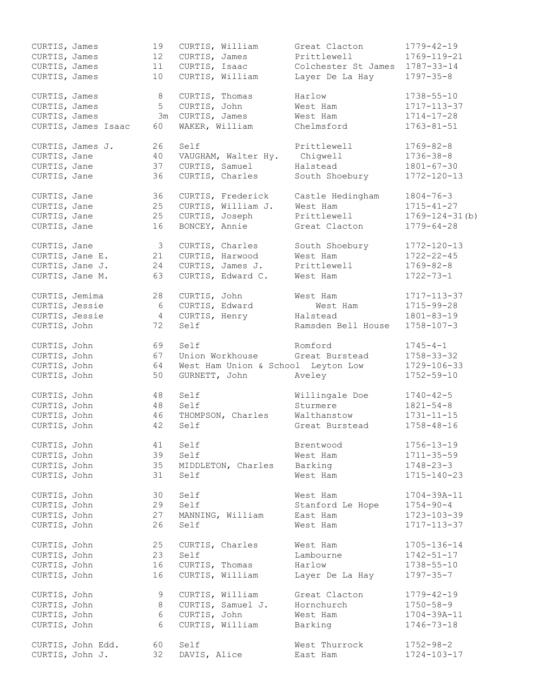| CURTIS, James  |                     | 19              | CURTIS, William                    | Great Clacton       | $1779 - 42 - 19$      |
|----------------|---------------------|-----------------|------------------------------------|---------------------|-----------------------|
| CURTIS, James  |                     | 12              | CURTIS, James                      | Prittlewell         | 1769-119-21           |
| CURTIS, James  |                     | 11              | CURTIS, Isaac                      | Colchester St James | 1787-33-14            |
| CURTIS, James  |                     | 10 <sup>°</sup> | CURTIS, William                    | Layer De La Hay     | $1797 - 35 - 8$       |
|                |                     |                 |                                    |                     |                       |
| CURTIS, James  |                     | 8               | CURTIS, Thomas                     | Harlow              | $1738 - 55 - 10$      |
| CURTIS, James  |                     | 5 <sup>1</sup>  | CURTIS, John                       | West Ham            | 1717-113-37           |
| CURTIS, James  |                     | 3m              | CURTIS, James                      | West Ham            | $1714 - 17 - 28$      |
|                | CURTIS, James Isaac | 60              | WAKER, William                     | Chelmsford          | $1763 - 81 - 51$      |
|                |                     |                 |                                    |                     |                       |
|                | CURTIS, James J.    | 26              | Self                               | Prittlewell         | $1769 - 82 - 8$       |
| CURTIS, Jane   |                     | 40              | VAUGHAM, Walter Hy.                | Chiqwell            | $1736 - 38 - 8$       |
| CURTIS, Jane   |                     | 37              | CURTIS, Samuel                     | Halstead            | $1801 - 67 - 30$      |
| CURTIS, Jane   |                     | 36              | CURTIS, Charles                    | South Shoebury      | $1772 - 120 - 13$     |
|                |                     |                 |                                    |                     |                       |
| CURTIS, Jane   |                     | 36              | CURTIS, Frederick                  | Castle Hedingham    | $1804 - 76 - 3$       |
| CURTIS, Jane   |                     | 25              | CURTIS, William J.                 | West Ham            | $1715 - 41 - 27$      |
|                |                     |                 |                                    | Prittlewell         |                       |
| CURTIS, Jane   |                     | 25              | CURTIS, Joseph                     |                     | $1769 - 124 - 31$ (b) |
| CURTIS, Jane   |                     | 16              | BONCEY, Annie                      | Great Clacton       | $1779 - 64 - 28$      |
|                |                     |                 |                                    |                     |                       |
| CURTIS, Jane   |                     | 3               | CURTIS, Charles                    | South Shoebury      | $1772 - 120 - 13$     |
|                | CURTIS, Jane E.     | 21              | CURTIS, Harwood                    | West Ham            | $1722 - 22 - 45$      |
|                | CURTIS, Jane J.     | 24              | CURTIS, James J.                   | Prittlewell         | $1769 - 82 - 8$       |
|                | CURTIS, Jane M.     | 63              | CURTIS, Edward C.                  | West Ham            | $1722 - 73 - 1$       |
|                |                     |                 |                                    |                     |                       |
| CURTIS, Jemima |                     | 28              | CURTIS, John                       | West Ham            | 1717-113-37           |
| CURTIS, Jessie |                     | 6               | CURTIS, Edward                     | West Ham            | 1715-99-28            |
| CURTIS, Jessie |                     | $\overline{4}$  | CURTIS, Henry                      | Halstead            | $1801 - 83 - 19$      |
| CURTIS, John   |                     | 72              | Self                               | Ramsden Bell House  | $1758 - 107 - 3$      |
|                |                     |                 |                                    |                     |                       |
| CURTIS, John   |                     | 69              | Self                               | Romford             | $1745 - 4 - 1$        |
| CURTIS, John   |                     | 67              | Union Workhouse                    | Great Burstead      | $1758 - 33 - 32$      |
| CURTIS, John   |                     | 64              | West Ham Union & School Leyton Low |                     | 1729-106-33           |
| CURTIS, John   |                     | 50              | GURNETT, John                      | Aveley              | $1752 - 59 - 10$      |
|                |                     |                 |                                    |                     |                       |
| CURTIS, John   |                     | 48              | Self                               | Willingale Doe      | $1740 - 42 - 5$       |
| CURTIS, John   |                     | 48              | Self                               | Sturmere            | $1821 - 54 - 8$       |
| CURTIS, John   |                     | 46              | THOMPSON, Charles                  | Walthanstow         | $1731 - 11 - 15$      |
| CURTIS, John   |                     | 42              | Self                               | Great Burstead      | $1758 - 48 - 16$      |
|                |                     |                 |                                    |                     |                       |
| CURTIS, John   |                     | 41              | Self                               | Brentwood           | $1756 - 13 - 19$      |
|                |                     |                 |                                    |                     |                       |
| CURTIS, John   |                     | 39              | Self                               | West Ham            | $1711 - 35 - 59$      |
| CURTIS, John   |                     | 35              | MIDDLETON, Charles                 | Barking             | $1748 - 23 - 3$       |
| CURTIS, John   |                     | 31              | Self                               | West Ham            | 1715-140-23           |
|                |                     |                 |                                    |                     |                       |
| CURTIS, John   |                     | 30              | Self                               | West Ham            | $1704 - 39A - 11$     |
| CURTIS, John   |                     | 29              | Self                               | Stanford Le Hope    | $1754 - 90 - 4$       |
| CURTIS, John   |                     | 27              | MANNING, William                   | East Ham            | 1723-103-39           |
| CURTIS, John   |                     | 26              | Self                               | West Ham            | 1717-113-37           |
|                |                     |                 |                                    |                     |                       |
| CURTIS, John   |                     | 25              | CURTIS, Charles                    | West Ham            | 1705-136-14           |
| CURTIS, John   |                     | 23              | Self                               | Lambourne           | $1742 - 51 - 17$      |
| CURTIS, John   |                     | 16              | CURTIS, Thomas                     | Harlow              | $1738 - 55 - 10$      |
| CURTIS, John   |                     | 16              | CURTIS, William                    | Layer De La Hay     | $1797 - 35 - 7$       |
|                |                     |                 |                                    |                     |                       |
| CURTIS, John   |                     | 9               | CURTIS, William                    | Great Clacton       | $1779 - 42 - 19$      |
| CURTIS, John   |                     | 8               | CURTIS, Samuel J.                  | Hornchurch          | $1750 - 58 - 9$       |
| CURTIS, John   |                     | 6               | CURTIS, John                       | West Ham            | $1704 - 39A - 11$     |
| CURTIS, John   |                     | 6               | CURTIS, William                    | Barking             | $1746 - 73 - 18$      |
|                |                     |                 |                                    |                     |                       |
|                | CURTIS, John Edd.   | 60              | Self                               | West Thurrock       | $1752 - 98 - 2$       |
|                | CURTIS, John J.     | 32              | DAVIS, Alice                       | East Ham            | $1724 - 103 - 17$     |
|                |                     |                 |                                    |                     |                       |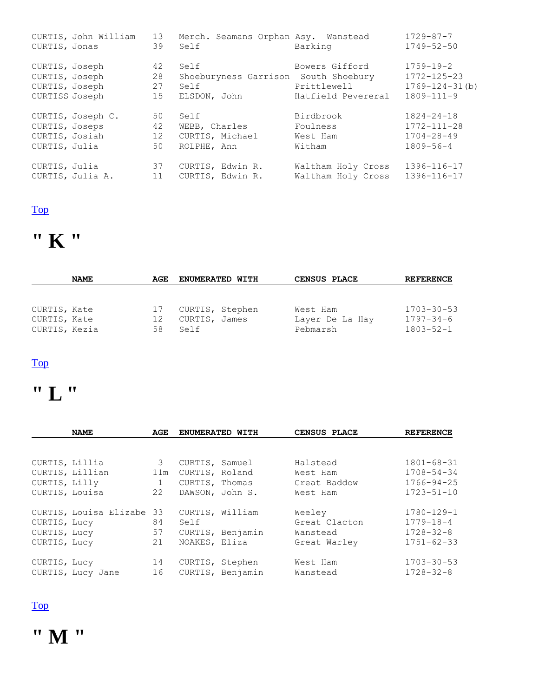| CURTIS, Jonas                                                        | CURTIS, John William | 13<br>39             | Merch. Seamans Orphan Asy. Wanstead<br>Self                          | Barking                                             | $1729 - 87 - 7$<br>$1749 - 52 - 50$                                              |
|----------------------------------------------------------------------|----------------------|----------------------|----------------------------------------------------------------------|-----------------------------------------------------|----------------------------------------------------------------------------------|
| CURTIS, Joseph<br>CURTIS, Joseph<br>CURTIS, Joseph<br>CURTISS Joseph |                      | 42<br>28<br>27<br>15 | Self<br>Shoeburyness Garrison South Shoebury<br>Self<br>ELSDON, John | Bowers Gifford<br>Prittlewell<br>Hatfield Pevereral | $1759 - 19 - 2$<br>$1772 - 125 - 23$<br>$1769 - 124 - 31(b)$<br>$1809 - 111 - 9$ |
| CURTIS, Joseps<br>CURTIS, Josiah<br>CURTIS, Julia                    | CURTIS, Joseph C.    | 50<br>42<br>12<br>50 | Self<br>WEBB, Charles<br>CURTIS, Michael<br>ROLPHE, Ann              | Birdbrook<br>Foulness<br>West Ham<br>Witham         | $1824 - 24 - 18$<br>$1772 - 111 - 28$<br>$1704 - 28 - 49$<br>$1809 - 56 - 4$     |
| CURTIS, Julia                                                        | CURTIS, Julia A.     | 37<br>11             | CURTIS, Edwin R.<br>CURTIS, Edwin R.                                 | Waltham Holy Cross<br>Waltham Holy Cross            | 1396-116-17<br>1396-116-17                                                       |



|               | <b>NAME</b> | AGE. | <b>ENUMERATED WITH</b> | CENSUS PLACE    | <b>REFERENCE</b> |
|---------------|-------------|------|------------------------|-----------------|------------------|
| CURTIS, Kate  |             | 17   | CURTIS, Stephen        | West Ham        | $1703 - 30 - 53$ |
| CURTIS, Kate  |             | 12   | CURTIS, James          | Layer De La Hay | $1797 - 34 - 6$  |
| CURTIS, Kezia |             | 58   | Self                   | Pebmarsh        | $1803 - 52 - 1$  |

#### [Top](http://www.curtis-curtiss.com/pub/archives/extractions/england/essex/1881_census/ess_curtis_idx.html#top)

# **" L "**

|                | <b>NAME</b>            | AGE          |                | <b>ENUMERATED WITH</b> | CENSUS PLACE  | <b>REFERENCE</b> |
|----------------|------------------------|--------------|----------------|------------------------|---------------|------------------|
|                |                        |              |                |                        |               |                  |
| CURTIS, Lillia |                        | 3            | CURTIS, Samuel |                        | Halstead      | $1801 - 68 - 31$ |
|                | CURTIS, Lillian        | 11m          | CURTIS, Roland |                        | West Ham      | $1708 - 54 - 34$ |
| CURTIS, Lilly  |                        | $\mathbf{1}$ | CURTIS, Thomas |                        | Great Baddow  | $1766 - 94 - 25$ |
| CURTIS, Louisa |                        | 22           |                | DAWSON, John S.        | West Ham      | $1723 - 51 - 10$ |
|                | CURTIS, Louisa Elizabe | -33          |                | CURTIS, William        | Weeley        | $1780 - 129 - 1$ |
| CURTIS, Lucy   |                        | 84           | Self           |                        | Great Clacton | $1779 - 18 - 4$  |
| CURTIS, Lucy   |                        | 57           |                | CURTIS, Benjamin       | Wanstead      | $1728 - 32 - 8$  |
| CURTIS, Lucy   |                        | 21           | NOAKES, Eliza  |                        | Great Warley  | $1751 - 62 - 33$ |
| CURTIS, Lucy   |                        | 14           |                | CURTIS, Stephen        | West Ham      | $1703 - 30 - 53$ |
|                | CURTIS, Lucy Jane      | 16           |                | CURTIS, Benjamin       | Wanstead      | $1728 - 32 - 8$  |

#### [Top](http://www.curtis-curtiss.com/pub/archives/extractions/england/essex/1881_census/ess_curtis_idx.html#top)

**" M "**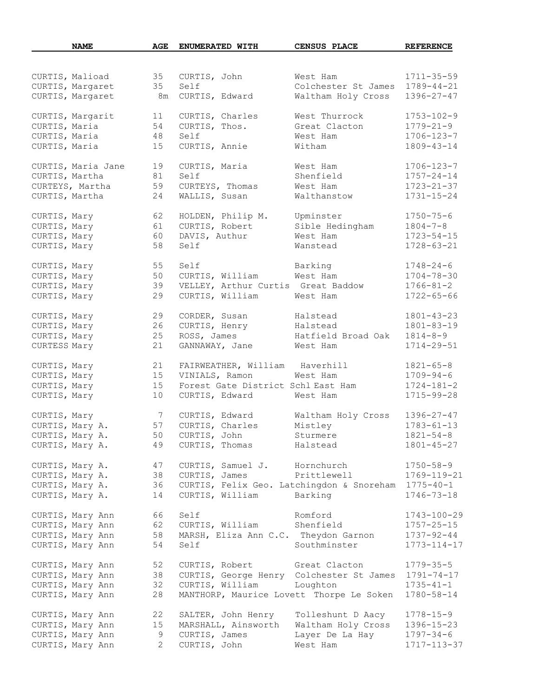|                | <b>NAME</b>        | AGE             | ENUMERATED WITH                                     | CENSUS PLACE        | <b>REFERENCE</b>  |
|----------------|--------------------|-----------------|-----------------------------------------------------|---------------------|-------------------|
|                |                    |                 |                                                     |                     |                   |
|                | CURTIS, Malioad    | 35              | CURTIS, John                                        | West Ham            | $1711 - 35 - 59$  |
|                | CURTIS, Margaret   | 35              | Self                                                | Colchester St James | $1789 - 44 - 21$  |
|                | CURTIS, Margaret   | 8m              | CURTIS, Edward                                      | Waltham Holy Cross  | $1396 - 27 - 47$  |
|                | CURTIS, Margarit   | 11              | CURTIS, Charles                                     | West Thurrock       | $1753 - 102 - 9$  |
| CURTIS, Maria  |                    | 54              | CURTIS, Thos.                                       | Great Clacton       | $1779 - 21 - 9$   |
| CURTIS, Maria  |                    | 48              | Self                                                | West Ham            | $1706 - 123 - 7$  |
| CURTIS, Maria  |                    |                 | CURTIS, Annie                                       | Witham              | 1809-43-14        |
|                |                    | 15              |                                                     |                     |                   |
|                | CURTIS, Maria Jane | 19              | CURTIS, Maria                                       | West Ham            | $1706 - 123 - 7$  |
| CURTIS, Martha |                    | 81              | Self                                                | Shenfield           | $1757 - 24 - 14$  |
|                | CURTEYS, Martha    | 59              | CURTEYS, Thomas                                     | West Ham            | $1723 - 21 - 37$  |
| CURTIS, Martha |                    | 24              | WALLIS, Susan                                       | Walthanstow         | $1731 - 15 - 24$  |
| CURTIS, Mary   |                    | 62              | HOLDEN, Philip M.                                   | Upminster           | $1750 - 75 - 6$   |
| CURTIS, Mary   |                    | 61              | CURTIS, Robert                                      | Sible Hedingham     | $1804 - 7 - 8$    |
| CURTIS, Mary   |                    | 60              | DAVIS, Authur                                       | West Ham            | $1723 - 54 - 15$  |
| CURTIS, Mary   |                    | 58              | Self                                                | Wanstead            | $1728 - 63 - 21$  |
| CURTIS, Mary   |                    | 55              | Self                                                | Barking             | $1748 - 24 - 6$   |
| CURTIS, Mary   |                    | 50              | CURTIS, William                                     | West Ham            | $1704 - 78 - 30$  |
| CURTIS, Mary   |                    | 39              | VELLEY, Arthur Curtis Great Baddow                  |                     | $1766 - 81 - 2$   |
| CURTIS, Mary   |                    | 29              | CURTIS, William                                     | West Ham            | $1722 - 65 - 66$  |
|                |                    |                 |                                                     |                     |                   |
| CURTIS, Mary   |                    | 29              | CORDER, Susan                                       | Halstead            | $1801 - 43 - 23$  |
| CURTIS, Mary   |                    | 26              | CURTIS, Henry                                       | Halstead            | $1801 - 83 - 19$  |
| CURTIS, Mary   |                    | 25              | ROSS, James                                         | Hatfield Broad Oak  | $1814 - 8 - 9$    |
| CURTESS Mary   |                    | 21              | GANNAWAY, Jane                                      | West Ham            | $1714 - 29 - 51$  |
| CURTIS, Mary   |                    | 21              | FAIRWEATHER, William Haverhill                      |                     | $1821 - 65 - 8$   |
| CURTIS, Mary   |                    | 15              | VINIALS, Ramon                                      | West Ham            | $1709 - 94 - 6$   |
| CURTIS, Mary   |                    | 15              | Forest Gate District Schl East Ham                  |                     | $1724 - 181 - 2$  |
| CURTIS, Mary   |                    | 10              | CURTIS, Edward                                      | West Ham            | $1715 - 99 - 28$  |
| CURTIS, Mary   |                    | $7\phantom{.0}$ | CURTIS, Edward                                      | Waltham Holy Cross  | $1396 - 27 - 47$  |
|                | CURTIS, Mary A.    | 57              | CURTIS, Charles                                     | Mistley             | $1783 - 61 - 13$  |
|                | CURTIS, Mary A.    | 50              | CURTIS, John                                        | Sturmere            | $1821 - 54 - 8$   |
|                | CURTIS, Mary A.    | 49              | CURTIS, Thomas                                      | Halstead            | $1801 - 45 - 27$  |
|                |                    |                 |                                                     |                     |                   |
|                | CURTIS, Mary A.    | 47              | CURTIS, Samuel J. Hornchurch                        |                     | $1750 - 58 - 9$   |
|                | CURTIS, Mary A.    | 38              | CURTIS, James                                       | Prittlewell         | 1769-119-21       |
|                | CURTIS, Mary A.    | 36              | CURTIS, Felix Geo. Latchingdon & Snoreham 1775-40-1 |                     |                   |
|                | CURTIS, Mary A.    | 14              | CURTIS, William                                     | Barking             | $1746 - 73 - 18$  |
|                | CURTIS, Mary Ann   | 66              | Self                                                | Romford             | $1743 - 100 - 29$ |
|                | CURTIS, Mary Ann   | 62              | CURTIS, William                                     | Shenfield           | $1757 - 25 - 15$  |
|                | CURTIS, Mary Ann   | 58              | MARSH, Eliza Ann C.C. Theydon Garnon                |                     | $1737 - 92 - 44$  |
|                | CURTIS, Mary Ann   | 54              | Self                                                | Southminster        | 1773-114-17       |
|                | CURTIS, Mary Ann   | 52              | CURTIS, Robert Great Clacton                        |                     | $1779 - 35 - 5$   |
|                | CURTIS, Mary Ann   | 38              | CURTIS, George Henry Colchester St James 1791-74-17 |                     |                   |
|                | CURTIS, Mary Ann   | 32              | CURTIS, William                                     | Loughton            | $1735 - 41 - 1$   |
|                | CURTIS, Mary Ann   | 28              | MANTHORP, Maurice Lovett Thorpe Le Soken            |                     | $1780 - 58 - 14$  |
|                |                    |                 |                                                     |                     |                   |
|                | CURTIS, Mary Ann   | 22              | SALTER, John Henry                                  | Tolleshunt D Aacy   | $1778 - 15 - 9$   |
|                | CURTIS, Mary Ann   | 15              | MARSHALL, Ainsworth                                 | Waltham Holy Cross  | $1396 - 15 - 23$  |
|                | CURTIS, Mary Ann   | 9               | CURTIS, James                                       | Layer De La Hay     | $1797 - 34 - 6$   |
|                | CURTIS, Mary Ann   | 2               | CURTIS, John                                        | West Ham            | 1717-113-37       |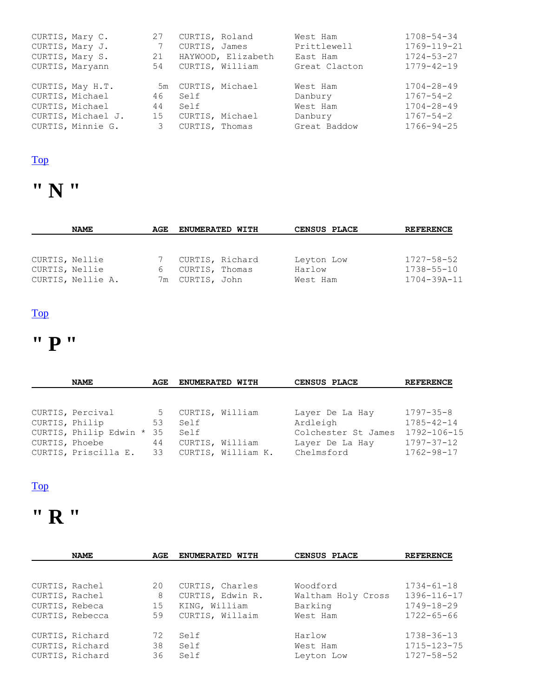| CURTIS, Mary C.    | 27 | CURTIS, Roland     | West Ham      | $1708 - 54 - 34$ |
|--------------------|----|--------------------|---------------|------------------|
| CURTIS, Mary J.    | 7  | CURTIS, James      | Prittlewell   | 1769-119-21      |
| CURTIS, Mary S.    | 21 | HAYWOOD, Elizabeth | East Ham      | $1724 - 53 - 27$ |
| CURTIS, Maryann    | 54 | CURTIS, William    | Great Clacton | $1779 - 42 - 19$ |
| CURTIS, May H.T.   |    | 5m CURTIS, Michael | West Ham      | $1704 - 28 - 49$ |
| CURTIS, Michael    | 46 | Self               | Danbury       | $1767 - 54 - 2$  |
| CURTIS, Michael    | 44 | Self               | West Ham      | $1704 - 28 - 49$ |
| CURTIS, Michael J. | 15 | CURTIS, Michael    | Danbury       | $1767 - 54 - 2$  |
| CURTIS, Minnie G.  | 3  | CURTIS, Thomas     | Great Baddow  | $1766 - 94 - 25$ |

# **" N "**

|                | <b>NAME</b>       | AGE. | ENUMERATED WITH | CENSUS PLACE | <b>REFERENCE</b>  |
|----------------|-------------------|------|-----------------|--------------|-------------------|
|                |                   |      |                 |              |                   |
|                |                   |      |                 |              |                   |
| CURTIS, Nellie |                   |      | CURTIS, Richard | Leyton Low   | $1727 - 58 - 52$  |
| CURTIS, Nellie |                   |      | CURTIS, Thomas  | Harlow       | $1738 - 55 - 10$  |
|                | CURTIS, Nellie A. |      | 7m CURTIS, John | West Ham     | $1704 - 39A - 11$ |

### [Top](http://www.curtis-curtiss.com/pub/archives/extractions/england/essex/1881_census/ess_curtis_idx.html#top)

# **" P "**

|                | <b>NAME</b>            | AGE | ENUMERATED WITH |                    | CENSUS PLACE        | <b>REFERENCE</b> |
|----------------|------------------------|-----|-----------------|--------------------|---------------------|------------------|
|                |                        |     |                 |                    |                     |                  |
|                | CURTIS, Percival       | 5   | CURTIS, William |                    | Layer De La Hay     | $1797 - 35 - 8$  |
|                |                        |     |                 |                    |                     |                  |
| CURTIS, Philip |                        | 53  | Self            |                    | Ardleigh            | $1785 - 42 - 14$ |
|                | CURTIS, Philip Edwin * | 35  | Self            |                    | Colchester St James | 1792-106-15      |
| CURTIS, Phoebe |                        | 44  | CURTIS, William |                    | Layer De La Hay     | $1797 - 37 - 12$ |
|                | CURTIS, Priscilla E.   | 33  |                 | CURTIS, William K. | Chelmsford          | 1762-98-17       |

#### [Top](http://www.curtis-curtiss.com/pub/archives/extractions/england/essex/1881_census/ess_curtis_idx.html#top)

### **" R "**

|                | <b>NAME</b>     | AGE | ENUMERATED WITH  | CENSUS PLACE       | <b>REFERENCE</b> |
|----------------|-----------------|-----|------------------|--------------------|------------------|
|                |                 |     |                  |                    |                  |
| CURTIS, Rachel |                 | 20  | CURTIS, Charles  | Woodford           | $1734 - 61 - 18$ |
| CURTIS, Rachel |                 | 8   | CURTIS, Edwin R. | Waltham Holy Cross | 1396-116-17      |
| CURTIS, Rebeca |                 | 15  | KING, William    | Barking            | $1749 - 18 - 29$ |
|                | CURTIS, Rebecca | 59  | CURTIS, Willaim  | West Ham           | $1722 - 65 - 66$ |
|                | CURTIS, Richard | 72  | Self             | Harlow             | $1738 - 36 - 13$ |
|                | CURTIS, Richard | 38  | Self             | West Ham           | 1715-123-75      |
|                | CURTIS, Richard | 36  | Self             | Leyton Low         | 1727-58-52       |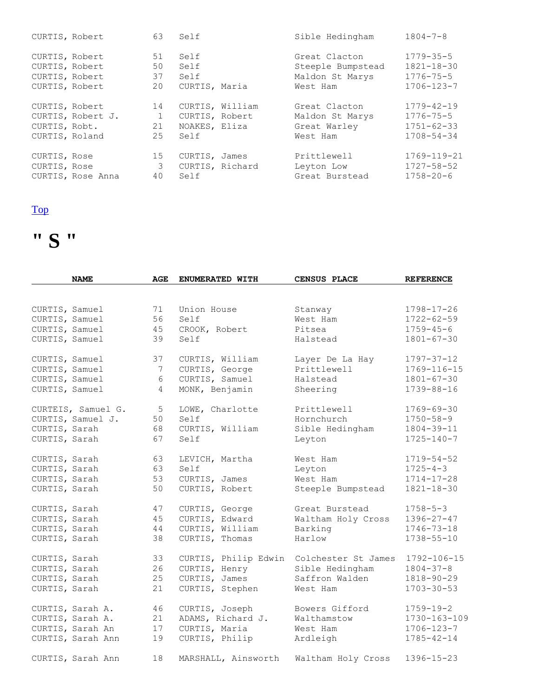| CURTIS, Robert                                                       |                   | 63                             | Self                                    |                 | Sible Hedingham                                                   | $1804 - 7 - 8$                                                              |
|----------------------------------------------------------------------|-------------------|--------------------------------|-----------------------------------------|-----------------|-------------------------------------------------------------------|-----------------------------------------------------------------------------|
| CURTIS, Robert<br>CURTIS, Robert<br>CURTIS, Robert<br>CURTIS, Robert |                   | 51<br>50<br>37<br>20           | Self<br>Self<br>Self<br>CURTIS, Maria   |                 | Great Clacton<br>Steeple Bumpstead<br>Maldon St Marys<br>West Ham | $1779 - 35 - 5$<br>$1821 - 18 - 30$<br>$1776 - 75 - 5$<br>$1706 - 123 - 7$  |
| CURTIS, Robert<br>CURTIS, Robt.<br>CURTIS, Roland                    | CURTIS, Robert J. | 14<br>$\mathbf{1}$<br>21<br>25 | CURTIS, Robert<br>NOAKES, Eliza<br>Self | CURTIS, William | Great Clacton<br>Maldon St Marys<br>Great Warley<br>West Ham      | $1779 - 42 - 19$<br>$1776 - 75 - 5$<br>$1751 - 62 - 33$<br>$1708 - 54 - 34$ |
| CURTIS, Rose<br>CURTIS, Rose                                         | CURTIS, Rose Anna | 15<br>3<br>40                  | CURTIS, James<br>Self                   | CURTIS, Richard | Prittlewell<br>Leyton Low<br>Great Burstead                       | 1769-119-21<br>$1727 - 58 - 52$<br>$1758 - 20 - 6$                          |



|                | <b>NAME</b>        | AGE            | ENUMERATED WITH      | CENSUS PLACE        | <b>REFERENCE</b> |
|----------------|--------------------|----------------|----------------------|---------------------|------------------|
|                |                    |                |                      |                     |                  |
| CURTIS, Samuel |                    | 71             | Union House          | Stanway             | $1798 - 17 - 26$ |
| CURTIS, Samuel |                    | 56             | Self                 | West Ham            | $1722 - 62 - 59$ |
| CURTIS, Samuel |                    | 45             | CROOK, Robert        | Pitsea              | $1759 - 45 - 6$  |
| CURTIS, Samuel |                    | 39             | Self                 | Halstead            | $1801 - 67 - 30$ |
| CURTIS, Samuel |                    | 37             | CURTIS, William      | Layer De La Hay     | $1797 - 37 - 12$ |
| CURTIS, Samuel |                    | 7              | CURTIS, George       | Prittlewell         | 1769-116-15      |
| CURTIS, Samuel |                    | 6              | CURTIS, Samuel       | Halstead            | $1801 - 67 - 30$ |
| CURTIS, Samuel |                    | $\overline{4}$ | MONK, Benjamin       | Sheering            | 1739-88-16       |
|                | CURTEIS, Samuel G. | 5              | LOWE, Charlotte      | Prittlewell         | $1769 - 69 - 30$ |
|                | CURTIS, Samuel J.  | 50             | Self                 | Hornchurch          | $1750 - 58 - 9$  |
| CURTIS, Sarah  |                    | 68             | CURTIS, William      | Sible Hedingham     | $1804 - 39 - 11$ |
| CURTIS, Sarah  |                    | 67             | Self                 | Leyton              | $1725 - 140 - 7$ |
| CURTIS, Sarah  |                    | 63             | LEVICH, Martha       | West Ham            | $1719 - 54 - 52$ |
| CURTIS, Sarah  |                    | 63             | Self                 | Leyton              | $1725 - 4 - 3$   |
| CURTIS, Sarah  |                    | 53             | CURTIS, James        | West Ham            | $1714 - 17 - 28$ |
| CURTIS, Sarah  |                    | 50             | CURTIS, Robert       | Steeple Bumpstead   | $1821 - 18 - 30$ |
| CURTIS, Sarah  |                    | 47             | CURTIS, George       | Great Burstead      | $1758 - 5 - 3$   |
| CURTIS, Sarah  |                    | 45             | CURTIS, Edward       | Waltham Holy Cross  | $1396 - 27 - 47$ |
| CURTIS, Sarah  |                    | 44             | CURTIS, William      | Barking             | $1746 - 73 - 18$ |
| CURTIS, Sarah  |                    | 38             | CURTIS, Thomas       | Harlow              | $1738 - 55 - 10$ |
| CURTIS, Sarah  |                    | 33             | CURTIS, Philip Edwin | Colchester St James | 1792-106-15      |
| CURTIS, Sarah  |                    | 26             | CURTIS, Henry        | Sible Hedingham     | $1804 - 37 - 8$  |
| CURTIS, Sarah  |                    | 25             | CURTIS, James        | Saffron Walden      | $1818 - 90 - 29$ |
| CURTIS, Sarah  |                    | 21             | CURTIS, Stephen      | West Ham            | $1703 - 30 - 53$ |
|                | CURTIS, Sarah A.   | 46             | CURTIS, Joseph       | Bowers Gifford      | $1759 - 19 - 2$  |
|                | CURTIS, Sarah A.   | 21             | ADAMS, Richard J.    | Walthamstow         | 1730-163-109     |
|                | CURTIS, Sarah An   | 17             | CURTIS, Maria        | West Ham            | $1706 - 123 - 7$ |
|                | CURTIS, Sarah Ann  | 19             | CURTIS, Philip       | Ardleigh            | $1785 - 42 - 14$ |
|                | CURTIS, Sarah Ann  | 18             | MARSHALL, Ainsworth  | Waltham Holy Cross  | $1396 - 15 - 23$ |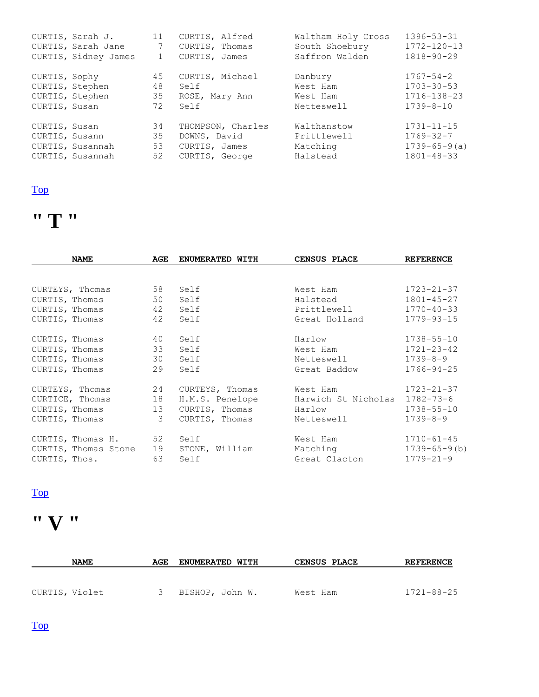|                                 | CURTIS, Sarah J.                     | 11                   | CURTIS, Alfred                                                       | Waltham Holy Cross                                 | $1396 - 53 - 31$                                                              |
|---------------------------------|--------------------------------------|----------------------|----------------------------------------------------------------------|----------------------------------------------------|-------------------------------------------------------------------------------|
|                                 | CURTIS, Sarah Jane                   | $7\phantom{.0}$      | CURTIS, Thomas                                                       | South Shoebury                                     | $1772 - 120 - 13$                                                             |
|                                 | CURTIS, Sidney James                 | $\mathbf{1}$         | CURTIS, James                                                        | Saffron Walden                                     | $1818 - 90 - 29$                                                              |
| CURTIS, Sophy                   |                                      | 45                   | CURTIS, Michael                                                      | Danbury                                            | $1767 - 54 - 2$                                                               |
| CURTIS, Stephen                 |                                      | 48                   | Self                                                                 | West Ham                                           | $1703 - 30 - 53$                                                              |
| CURTIS, Stephen                 |                                      | 35                   | ROSE, Mary Ann                                                       | West Ham                                           | 1716-138-23                                                                   |
| CURTIS, Susan                   |                                      | 72                   | Self                                                                 | Netteswell                                         | $1739 - 8 - 10$                                                               |
| CURTIS, Susan<br>CURTIS, Susann | CURTIS, Susannah<br>CURTIS, Susannah | 34<br>35<br>53<br>52 | THOMPSON, Charles<br>DOWNS, David<br>CURTIS, James<br>CURTIS, George | Walthanstow<br>Prittlewell<br>Matching<br>Halstead | $1731 - 11 - 15$<br>$1769 - 32 - 7$<br>$1739 - 65 - 9(a)$<br>$1801 - 48 - 33$ |

# **" T "**

| <b>NAME</b>          | AGE | ENUMERATED WITH | CENSUS PLACE        | <b>REFERENCE</b>    |
|----------------------|-----|-----------------|---------------------|---------------------|
|                      |     |                 |                     |                     |
| CURTEYS, Thomas      | 58  | Self            | West Ham            | $1723 - 21 - 37$    |
| CURTIS, Thomas       | 50  | Self            | Halstead            | $1801 - 45 - 27$    |
| CURTIS, Thomas       | 42  | Self            | Prittlewell         | $1770 - 40 - 33$    |
| CURTIS, Thomas       | 42  | Self            | Great Holland       | $1779 - 93 - 15$    |
| CURTIS, Thomas       | 40  | Self            | Harlow              | $1738 - 55 - 10$    |
| CURTIS, Thomas       | 33  | Self            | West Ham            | $1721 - 23 - 42$    |
| CURTIS, Thomas       | 30  | Self            | Netteswell          | $1739 - 8 - 9$      |
| CURTIS, Thomas       | 29  | Self            | Great Baddow        | $1766 - 94 - 25$    |
| CURTEYS, Thomas      | 24  | CURTEYS, Thomas | West Ham            | $1723 - 21 - 37$    |
| CURTICE, Thomas      | 18  | H.M.S. Penelope | Harwich St Nicholas | $1782 - 73 - 6$     |
| CURTIS, Thomas       | 13  | CURTIS, Thomas  | Harlow              | $1738 - 55 - 10$    |
| CURTIS, Thomas       | 3   | CURTIS, Thomas  | Netteswell          | $1739 - 8 - 9$      |
| CURTIS, Thomas H.    | 52  | Self            | West Ham            | $1710 - 61 - 45$    |
| CURTIS, Thomas Stone | 19  | STONE, William  | Matching            | $1739 - 65 - 9$ (b) |
| CURTIS, Thos.        | 63  | Self            | Great Clacton       | $1779 - 21 - 9$     |

### [Top](http://www.curtis-curtiss.com/pub/archives/extractions/england/essex/1881_census/ess_curtis_idx.html#top)

# **" V "**

| <b>NAME</b>    | AGE | <b>ENUMERATED WITH</b> | <b>CENSUS PLACE</b> | <b>REFERENCE</b> |
|----------------|-----|------------------------|---------------------|------------------|
|                |     |                        |                     |                  |
| CURTIS, Violet | 3   | BISHOP, John W.        | West Ham            | 1721-88-25       |